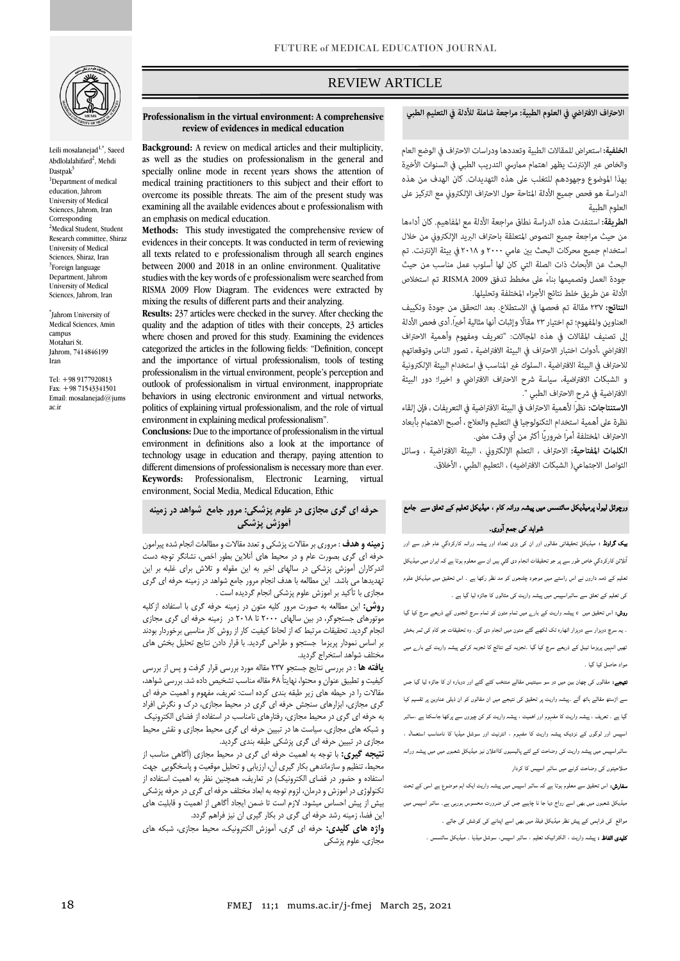

Leili mosalanejad<sup>1,\*</sup>, Saeed Abdlolalahifard<sup>2</sup>, Mehdi Dastpa $k^3$ <sup>1</sup>Department of medical education, Jahrom University of Medical Sciences, Jahrom, Iran **Corresponding** <sup>2</sup>Medical Student, Student Research committee, Shiraz University of Medical Sciences, Shiraz, Iran <sup>3</sup>Foreign language Department, Jahrom University of Medical Sciences, Jahrom, Iran

\* Jahrom University of Medical Sciences, Amin campus Motahari St. Jahrom, 7414846199 Iran

Tel: +98 9177920813 Fax: +98 71543341501 Email: mosalanejad@jums ac.ir

# REVIEW ARTICLE

# الاحتراف الافتراضي في العلوم الطبية: مراجعة شاملة للأدلة في التعليم الطبي

ص

الخلفية: استعراض للمقالات الطبية وتعددها ودراسات الاحتراف في الوضع العام والخاص عبر الإنترنت يظهر اهتمام ممارسى التدريب الطبى في السنوات الأخيرة بهذا الموضوع وجهودهم للتغلب على هذه التهديدات. كان الهدف من هذه الدراسة هو فحص جميع الأدلة المتاحة حول الاحتراف الإلكتروني مع التركيز على العلوم الطبية

الطريقة: استنفدت هذه الدراسة نطاق مراجعة الأدلة مع المفاهيم. كان أداءها من حيث مراجعة جميع النصوص المتعلقة باحتراف البريد الإلكتروني من خلال استخدام جميع محركات البحث بين عامي ٢٠٠٠ و ٢٠١٨ في بيئة الإنترنت. تم البحث عن الأبحاث ذات الصلة التي كان لها أسلوب عمل مناسب من حيث جودة العمل وتصميمها بناءً على مخطط تدفق RISMA 2009. تم استخلاص الأدلة عن طريق خلط نتائج الأجزاء المختلفة وتحليلها.

**النتائج:** ٢٣٧ مقالة تم فحصها في الاستطلاع. بعد التحقق من جودة وتكبيف العناوين والمفهوم؛ تم اختيار ٢٣ مقالًا وإثبات أنها مثالية أخيراً. أدى فحص الأدلة إلى تصنيف المقالات في هذه المجالات: "تعريف ومفهوم وأهمية الاحتراف الافتراضي ،أدوات اختبار الاحتراف في البيئة الافتراضية ، تصور الناس وتوقعاتهم للاحتراف في البيئة الافتراضية ، السلوك غير المناسب في استخدام البيئة الإلكترونية و الشبكات الافتراضية، سياسة شرح الاحتراف الافتراضي و اخيرا؛ دور البيئة الافتراضية في شرح الاحتراف الطبي ".

الاستنتاجات: نظراً لأهمية الاحتراف في البيئة الافتراضية في التعريفات ، فإن إلقاء نظرة على أهمية استخدام التكنولوجيا فى التعليم والعلاج ، أصبح الاهتمام بأبعاد الاحتراف المختلفة أمراً ضروريًا أكثر من أي وقت مضي.

الكلمات المفتاحية: الاحتراف ، التعلم الإلكتروني ، البيئة الافتراضية ، وسائل التواصل الاجتماعي( الشبكات الافتراضيه) ، التعليم الطبي ، الأخلاق.

# ورچوئل لیول پرمیڈیکل سائنسس میں پیشہ ورانہ کام ، میڈیکل تعلیم کے تعلق سے جامع شواہد کی جمع ا وری۔

بیک گراونڈ : میڈیکل تحقیقاتی مقالوں اور ان کی بڑی تعداد اور پیشہ ورانہ کارکردگي عام طور سے اور ا نلائن کارکردگي خاص طور سے پر جو تحقیقات انجام دی گئي ہيں ان سے معلوم ہوتا ہے کہایران میں میڈیکل تعلیم کے ذمہ داروں نے اس راستے میں موجود چلنجوں کو مد نظر رکھا ہے ۔ اس تحقیق میں میڈیکل علوم کی تعلیم کے تعلق سے سائبراسپیس میں پیشہ واریت کی مثالوں کا جائزہ لیا گيا ہے ۔

روش: اس تحقیق میں e پیشہ واریت کے بارے میں تمام متون کو تمام سرچ انجنوں کے ذریعے سرچ کیا گيا ۔ یہ سرچ دوہزار سے دوہزار اٹھارہ تک لکھے گئے متون میں انجام دی گئ۔ وہ تحقیقات جو کام کی ثمر بخش تھیں انہیں پریزما ٹیبل کے ذریعے سرچ کیا گيا ۔تجزیہ کے نتائج کا تجزیہ کرکے پیشہ واریت کے بارے میں مواد حاصل کیا گيا ۔

نتیجے: مقالوں کی چھان بین میں دو سو سینتیس مقالے منتخب کئے گئے اور دوبارہ ان کا جائزہ لیا گيا جس سے اڑسٹھ مقالے ہاتھ آئے ۔پیشہ واریت پر تحقیق کی نتیجے میں ان مقالوں کو ان ذیلی عناوین پر تقسیم کیا ۔ گيا ہے ۔ تعریف ، پیشہ واریت کا مفہوم اور اھمیت ، پیشہ واریت کو کن چیزوں سے پرکھا جاسکتا ہے ،سائبر اسپیس اور لوگوں کے نزدیک پیشہ واریت کا مفہوم ، انٹرنیٹ اور سوشل میڈیا کا نامناسب استعمال ، سائبراسپیس میں پیشہ واریت کی وضاحت کے لئے پالیسیوں کااعلان نیز میڈیکل شعبوں میں میں پیشہ ورانہ صلاحیتوں کی وضاحت کرنے میں سائبر اسپیس کا کردار

سفارش: اس تحقیق سے معلوم ہوتا ہے کہ سائبر اسپیس میں پیشہ واریت ایک اہم موضوع ہے اسی کے تحت میڈیکل شعبوں میں بھی اسے رواج دیا جا نا چاہیے جس کی ضرورت محسوس ہورہی ہے۔ سائبر اسپیس میں مواقع کی فراہمی کے پیش نظر میڈیکل فیلڈ میں بھی اسے اپنانے کی کوشش کی جائے ۔ کلیدی الفاظ : پیشہ واریت ، الکٹرانیک تعلیم ، سائبر اسپیس، سوشل میڈیا ۔ میڈیکل سائںسس ۔

#### **Professionalism in the virtual environment: A comprehensive review of evidences in medical education**

**Background:** A review on medical articles and their multiplicity, as well as the studies on professionalism in the general and specially online mode in recent years shows the attention of medical training practitioners to this subject and their effort to overcome its possible threats. The aim of the present study was examining all the available evidences about e professionalism with an emphasis on medical education.

**Methods:** This study investigated the comprehensive review of evidences in their concepts. It was conducted in term of reviewing all texts related to e professionalism through all search engines between 2000 and 2018 in an online environment. Qualitative studies with the key words of e professionalism were searched from RISMA 2009 Flow Diagram. The evidences were extracted by mixing the results of different parts and their analyzing.

**Results:** 237 articles were checked in the survey. After checking the quality and the adaption of titles with their concepts, 23 articles where chosen and proved for this study. Examining the evidences categorized the articles in the following fields: "Definition, concept and the importance of virtual professionalism, tools of testing professionalism in the virtual environment, people's perception and outlook of professionalism in virtual environment, inappropriate behaviors in using electronic environment and virtual networks, politics of explaining virtual professionalism, and the role of virtual environment in explaining medical professionalism".

**Conclusions:** Due to the importance of professionalism in the virtual environment in definitions also a look at the importance of technology usage in education and therapy, paying attention to different dimensions of professionalism is necessary more than ever. **Keywords:** Professionalism, Electronic Learning, virtual environment, Social Media, Medical Education, Ethic

# **حرفه ای گری مجازی در علوم پزشکی: مرور جامع شواهد در زمینه آموزش پزشکی**

**زمینه و هدف** : مروری بر مقاالت پزشكی و تعدد مقاالت و مطالعات انجام شده پیرامون حرفه ای گری بصورت عام و در محیط های آنالین بطور اخص، نشانگر توجه دست اندركاران آموزش پزشكی در سالهای اخیر به این مقوله و تالش برای غلبه بر این تهدیدها می باشد. این مطالعه با هدف انجام مرور جامع شواهد در زمینه حرفه ای گری مجازی با تأكید بر اموزش علوم پزشكی انجام گردیده است .

**روش:** این مطالعه به صورت مرور كلیه متون در زمینه حرفه گری با استفاده ازكلیه .<br>موتورهای جستجوگر، در بین سالهای ۲۰۰۰ تا ۲۰۱۸ در زمینه حرفه ای گری مجازی انجام گردید. تحقیقات مرتبط كه از لحاظ كیفیت كار از روش كار مناسبی برخوردار بودند بر اساس نمودار پریزما جستجو و طراحی گردید. با قرار دادن نتایج تحلیل بخش های مختلف شواهد استخراج گردید.

**یافته ها** : در بررسی نتایج جستجو 237 مقاله مورد بررسی قرار گرفت و پس از بررسی كیفیت و تطبیق عنوان و محتوا، نهایتاً 68 مقاله مناسب تشخیص داده شد. بررسی شواهد، مقاالت را در حیطه های زیر طبقه بندی كرده است: تعریف، مفهوم و اهمیت حرفه ای گری مجازی، ابزارهای سنجش حرفه ای گری در محیط مجازی، درک و نگرش افراد به حرفه ای گری در محیط مجازی، رفتارهای نامناسب در استفاده از فضای الكترونیک و شبكه های مجازی، سیاست ها در تبیین حرفه ای گری محیط مجازی و نقش محیط مجازی در تبیین حرفه ای گری پزشكی طبقه بندی گردید.

**نتیجه گیری:** با توجه به اهمیت حرفه ای گری در محیط مجازی )آگاهی مناسب از محیط، تنظیم و سازماندهی بكار گیری آن، ارزیابی و تحلیل موقعیت و پاسخگویی جهت استفاده و حضور در فضای الكترونیک( در تعاریف، همچنین نظر به اهمیت استفاده از تكنولوژی در اموزش و درمان، لزوم توجه به ابعاد مختلف حرفه ای گری در حرفه پزشكی بیش از پیش احساس میشود. الزم است تا ضمن ایجاد آگاهی از اهمیت و قابلیت های این فضا، زمینه رشد حرفه ای گری در بكار گیری ان نیز فراهم گردد.

**واژه های کلیدی:** حرفه ای گری، آموزش الكترونیک، محیط مجازی، شبكه های مجازی، علوم پزشكی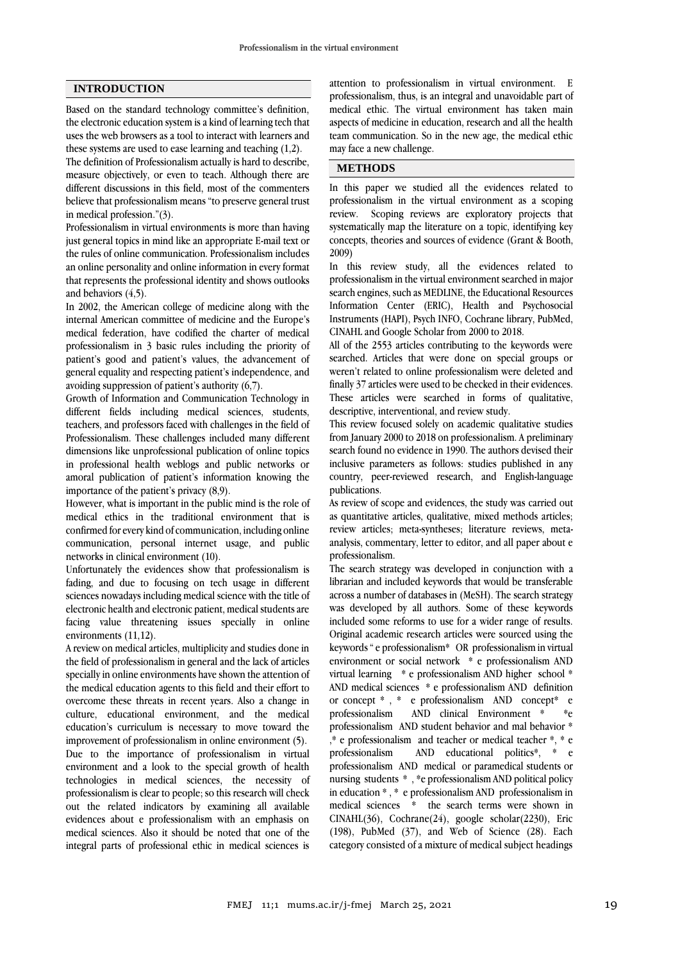# **INTRODUCTION**

Based on the standard technology committee's definition, the electronic education system is a kind of learning tech that uses the web browsers as a tool to interact with learners and these systems are used to ease learning and teaching (1,2).

The definition of Professionalism actually is hard to describe, measure objectively, or even to teach. Although there are different discussions in this field, most of the commenters believe that professionalism means "to preserve general trust in medical profession."(3).

Professionalism in virtual environments is more than having just general topics in mind like an appropriate E-mail text or the rules of online communication. Professionalism includes an online personality and online information in every format that represents the professional identity and shows outlooks and behaviors (4,5).

In 2002, the American college of medicine along with the internal American committee of medicine and the Europe's medical federation, have codified the charter of medical professionalism in 3 basic rules including the priority of patient's good and patient's values, the advancement of general equality and respecting patient's independence, and avoiding suppression of patient's authority (6,7).

Growth of Information and Communication Technology in different fields including medical sciences, students, teachers, and professors faced with challenges in the field of Professionalism. These challenges included many different dimensions like unprofessional publication of online topics in professional health weblogs and public networks or amoral publication of patient's information knowing the importance of the patient's privacy (8,9).

However, what is important in the public mind is the role of medical ethics in the traditional environment that is confirmed for every kind of communication, including online communication, personal internet usage, and public networks in clinical environment (10).

Unfortunately the evidences show that professionalism is fading, and due to focusing on tech usage in different sciences nowadays including medical science with the title of electronic health and electronic patient, medical students are facing value threatening issues specially in online environments (11,12).

A review on medical articles, multiplicity and studies done in the field of professionalism in general and the lack of articles specially in online environments have shown the attention of the medical education agents to this field and their effort to overcome these threats in recent years. Also a change in culture, educational environment, and the medical education's curriculum is necessary to move toward the improvement of professionalism in online environment (5). Due to the importance of professionalism in virtual environment and a look to the special growth of health technologies in medical sciences, the necessity of professionalism is clear to people; so this research will check out the related indicators by examining all available evidences about e professionalism with an emphasis on medical sciences. Also it should be noted that one of the integral parts of professional ethic in medical sciences is

attention to professionalism in virtual environment. E professionalism, thus, is an integral and unavoidable part of medical ethic. The virtual environment has taken main aspects of medicine in education, research and all the health team communication. So in the new age, the medical ethic may face a new challenge.

# **METHODS**

In this paper we studied all the evidences related to professionalism in the virtual environment as a scoping review. Scoping reviews are exploratory projects that systematically map the literature on a topic, identifying key concepts, theories and sources of evidence (Grant & Booth, 2009)

In this review study, all the evidences related to professionalism in the virtual environment searched in major search engines, such as MEDLINE, the Educational Resources Information Center (ERIC), Health and Psychosocial Instruments (HAPI), Psych INFO, Cochrane library, PubMed, CINAHL and Google Scholar from 2000 to 2018.

All of the 2553 articles contributing to the keywords were searched. Articles that were done on special groups or weren't related to online professionalism were deleted and finally 37 articles were used to be checked in their evidences. These articles were searched in forms of qualitative, descriptive, interventional, and review study.

This review focused solely on academic qualitative studies from January 2000 to 2018 on professionalism. A preliminary search found no evidence in 1990. The authors devised their inclusive parameters as follows: studies published in any country, peer-reviewed research, and English-language publications.

As review of scope and evidences, the study was carried out as quantitative articles, qualitative, mixed methods articles; review articles; meta-syntheses; literature reviews, metaanalysis, commentary, letter to editor, and all paper about e professionalism.

The search strategy was developed in conjunction with a librarian and included keywords that would be transferable across a number of databases in (MeSH). The search strategy was developed by all authors. Some of these keywords included some reforms to use for a wider range of results. Original academic research articles were sourced using the keywords " e professionalism\* OR professionalism in virtual environment or social network \* e professionalism AND virtual learning \* e professionalism AND higher school \* AND medical sciences \* e professionalism AND definition or concept \* , \* e professionalism AND concept\* e professionalism AND clinical Environment \* \*e professionalism AND student behavior and mal behavior \* ,\* e professionalism and teacher or medical teacher \*, \* e professionalism AND educational politics\*, \* e professionalism AND medical or paramedical students or nursing students \* , \*e professionalism AND political policy in education \* , \* e professionalism AND professionalism in medical sciences \* the search terms were shown in CINAHL(36), Cochrane(24), google scholar(2230), Eric (198), PubMed (37), and Web of Science (28). Each category consisted of a mixture of medical subject headings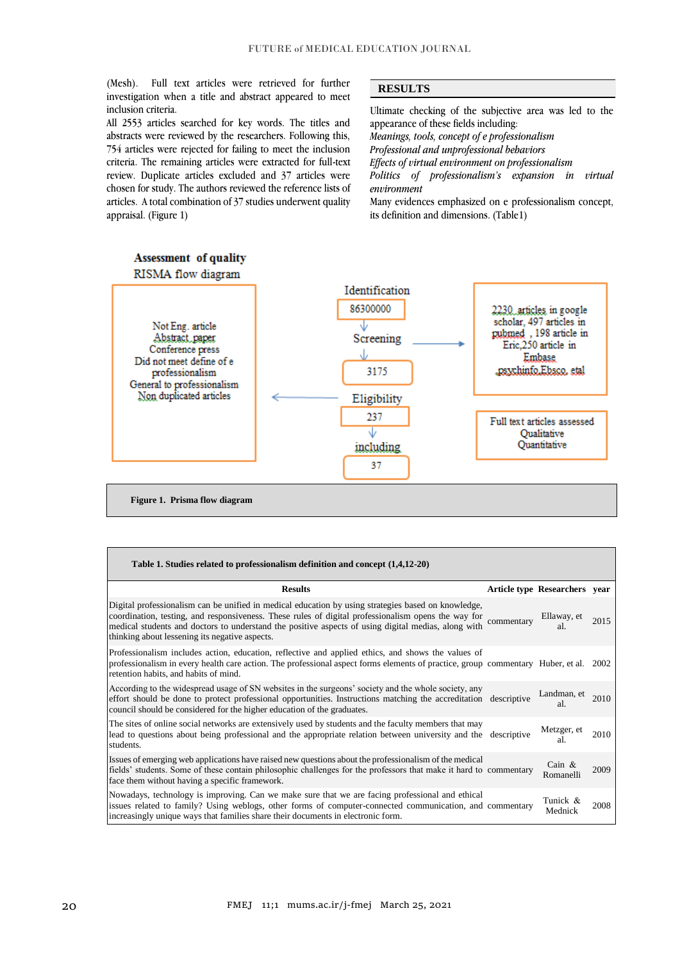(Mesh). Full text articles were retrieved for further investigation when a title and abstract appeared to meet inclusion criteria.

All 2553 articles searched for key words. The titles and abstracts were reviewed by the researchers. Following this, 754 articles were rejected for failing to meet the inclusion criteria. The remaining articles were extracted for full-text review. Duplicate articles excluded and 37 articles were chosen for study. The authors reviewed the reference lists of articles. A total combination of 37 studies underwent quality appraisal. (Figure 1)

# **RESULTS**

Ultimate checking of the subjective area was led to the appearance of these fields including: *Meanings, tools, concept of e professionalism Professional and unprofessional behaviors Effects of virtual environment on professionalism Politics of professionalism's expansion in virtual environment* Many evidences emphasized on e professionalism concept, its definition and dimensions. (Table1)



**Figure 1. Prisma flow diagram**

| Table 1. Studies related to professionalism definition and concept (1,4,12-20)                                                                                                                                                                                                                                                                                      |            |                               |      |
|---------------------------------------------------------------------------------------------------------------------------------------------------------------------------------------------------------------------------------------------------------------------------------------------------------------------------------------------------------------------|------------|-------------------------------|------|
| <b>Results</b>                                                                                                                                                                                                                                                                                                                                                      |            | Article type Researchers year |      |
| Digital professionalism can be unified in medical education by using strategies based on knowledge,<br>coordination, testing, and responsiveness. These rules of digital professionalism opens the way for<br>medical students and doctors to understand the positive aspects of using digital medias, along with<br>thinking about lessening its negative aspects. | commentary | Ellaway, et<br>al.            | 2015 |
| Professionalism includes action, education, reflective and applied ethics, and shows the values of<br>professionalism in every health care action. The professional aspect forms elements of practice, group commentary Huber, et al. 2002<br>retention habits, and habits of mind.                                                                                 |            |                               |      |
| According to the widespread usage of SN websites in the surgeons' society and the whole society, any<br>effort should be done to protect professional opportunities. Instructions matching the accreditation descriptive<br>council should be considered for the higher education of the graduates.                                                                 |            | Landman, et<br>al.            | 2010 |
| The sites of online social networks are extensively used by students and the faculty members that may<br>lead to questions about being professional and the appropriate relation between university and the descriptive<br>students.                                                                                                                                |            | Metzger, et<br>al.            | 2010 |
| Issues of emerging web applications have raised new questions about the professionalism of the medical<br>fields' students. Some of these contain philosophic challenges for the professors that make it hard to commentary<br>face them without having a specific framework.                                                                                       |            | Cain $\&$<br>Romanelli        | 2009 |
| Nowadays, technology is improving. Can we make sure that we are facing professional and ethical<br>issues related to family? Using weblogs, other forms of computer-connected communication, and commentary<br>increasingly unique ways that families share their documents in electronic form.                                                                     |            | Tunick &<br>Mednick           | 2008 |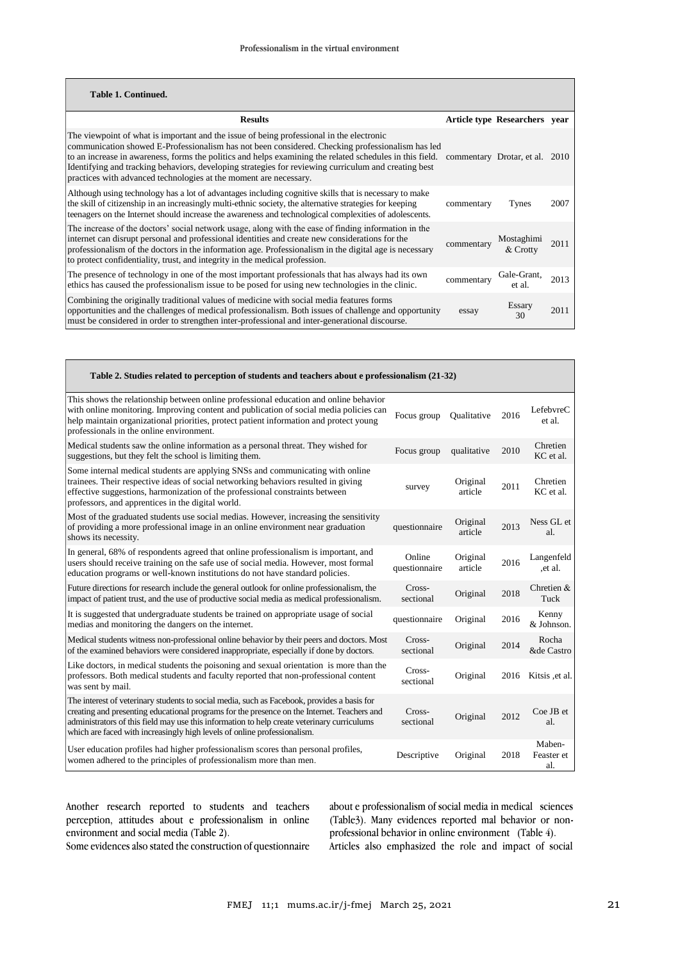| Table 1. Continued.                                                                                                                                                                                                                                                                                                                                                                                                                                                                   |            |                                |      |
|---------------------------------------------------------------------------------------------------------------------------------------------------------------------------------------------------------------------------------------------------------------------------------------------------------------------------------------------------------------------------------------------------------------------------------------------------------------------------------------|------------|--------------------------------|------|
| <b>Results</b>                                                                                                                                                                                                                                                                                                                                                                                                                                                                        |            | Article type Researchers year  |      |
| The viewpoint of what is important and the issue of being professional in the electronic<br>communication showed E-Professionalism has not been considered. Checking professionalism has led<br>to an increase in awareness, forms the politics and helps examining the related schedules in this field.<br>Identifying and tracking behaviors, developing strategies for reviewing curriculum and creating best<br>practices with advanced technologies at the moment are necessary. |            | commentary Drotar, et al. 2010 |      |
| Although using technology has a lot of advantages including cognitive skills that is necessary to make<br>the skill of citizenship in an increasingly multi-ethnic society, the alternative strategies for keeping<br>teenagers on the Internet should increase the awareness and technological complexities of adolescents.                                                                                                                                                          | commentary | Tynes                          | 2007 |
| The increase of the doctors' social network usage, along with the ease of finding information in the<br>internet can disrupt personal and professional identities and create new considerations for the<br>professionalism of the doctors in the information age. Professionalism in the digital age is necessary<br>to protect confidentiality, trust, and integrity in the medical profession.                                                                                      | commentary | Mostaghimi<br>& Crotty         | 2011 |
| The presence of technology in one of the most important professionals that has always had its own<br>ethics has caused the professionalism issue to be posed for using new technologies in the clinic.                                                                                                                                                                                                                                                                                | commentary | Gale-Grant,<br>et al.          | 2013 |
| Combining the originally traditional values of medicine with social media features forms<br>opportunities and the challenges of medical professionalism. Both issues of challenge and opportunity<br>must be considered in order to strengthen inter-professional and inter-generational discourse.                                                                                                                                                                                   | essay      | Essary<br>30                   | 2011 |

| Table 2. Studies related to perception of students and teachers about e professionalism (21-32)                                                                                                                                                                                                                                                                       |                         |                     |      |                             |
|-----------------------------------------------------------------------------------------------------------------------------------------------------------------------------------------------------------------------------------------------------------------------------------------------------------------------------------------------------------------------|-------------------------|---------------------|------|-----------------------------|
| This shows the relationship between online professional education and online behavior<br>with online monitoring. Improving content and publication of social media policies can<br>help maintain organizational priorities, protect patient information and protect young<br>professionals in the online environment.                                                 | Focus group             | Oualitative         | 2016 | LefebvreC<br>et al.         |
| Medical students saw the online information as a personal threat. They wished for<br>suggestions, but they felt the school is limiting them.                                                                                                                                                                                                                          | Focus group             | qualitative         | 2010 | Chretien<br>KC et al.       |
| Some internal medical students are applying SNSs and communicating with online<br>trainees. Their respective ideas of social networking behaviors resulted in giving<br>effective suggestions, harmonization of the professional constraints between<br>professors, and apprentices in the digital world.                                                             | survey                  | Original<br>article | 2011 | Chretien<br>KC et al.       |
| Most of the graduated students use social medias. However, increasing the sensitivity<br>of providing a more professional image in an online environment near graduation<br>shows its necessity.                                                                                                                                                                      | questionnaire           | Original<br>article | 2013 | Ness GL et<br>al.           |
| In general, 68% of respondents agreed that online professionalism is important, and<br>users should receive training on the safe use of social media. However, most formal<br>education programs or well-known institutions do not have standard policies.                                                                                                            | Online<br>questionnaire | Original<br>article | 2016 | Langenfeld<br>et al.        |
| Future directions for research include the general outlook for online professionalism, the<br>impact of patient trust, and the use of productive social media as medical professionalism.                                                                                                                                                                             | Cross-<br>sectional     | Original            | 2018 | Chretien $&$<br>Tuck        |
| It is suggested that undergraduate students be trained on appropriate usage of social<br>medias and monitoring the dangers on the internet.                                                                                                                                                                                                                           | questionnaire           | Original            | 2016 | Kenny<br>& Johnson.         |
| Medical students witness non-professional online behavior by their peers and doctors. Most<br>of the examined behaviors were considered inappropriate, especially if done by doctors.                                                                                                                                                                                 | $Cross-$<br>sectional   | Original            | 2014 | Rocha<br>&de Castro         |
| Like doctors, in medical students the poisoning and sexual orientation is more than the<br>professors. Both medical students and faculty reported that non-professional content<br>was sent by mail.                                                                                                                                                                  | Cross-<br>sectional     | Original            | 2016 | Kitsis et al.               |
| The interest of veterinary students to social media, such as Facebook, provides a basis for<br>creating and presenting educational programs for the presence on the Internet. Teachers and<br>administrators of this field may use this information to help create veterinary curriculums<br>which are faced with increasingly high levels of online professionalism. | Cross-<br>sectional     | Original            | 2012 | Coe JB et<br>al.            |
| User education profiles had higher professionalism scores than personal profiles,<br>women adhered to the principles of professionalism more than men.                                                                                                                                                                                                                | Descriptive             | Original            | 2018 | Maben-<br>Feaster et<br>al. |

Another research reported to students and teachers perception, attitudes about e professionalism in online environment and social media (Table 2).

about e professionalism of social media in medical sciences (Table3). Many evidences reported mal behavior or nonprofessional behavior in online environment (Table 4). Articles also emphasized the role and impact of social

Some evidences also stated the construction of questionnaire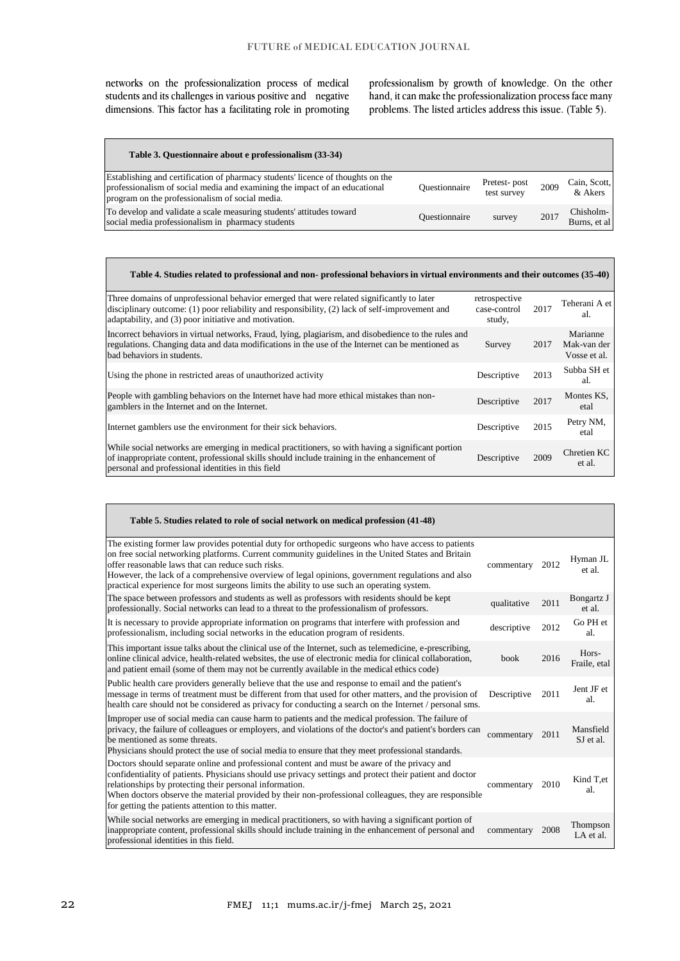networks on the professionalization process of medical students and its challenges in various positive and negative dimensions. This factor has a facilitating role in promoting

professionalism by growth of knowledge. On the other hand, it can make the professionalization process face many problems. The listed articles address this issue. (Table 5).

| Table 3. Questionnaire about e professionalism (33-34)                                                                                                                                                           |               |                             |      |                            |
|------------------------------------------------------------------------------------------------------------------------------------------------------------------------------------------------------------------|---------------|-----------------------------|------|----------------------------|
| Establishing and certification of pharmacy students' licence of thoughts on the<br>professionalism of social media and examining the impact of an educational<br>program on the professionalism of social media. | Ouestionnaire | Pretest-post<br>test survey | 2009 | Cain, Scott,<br>& Akers    |
| To develop and validate a scale measuring students' attitudes toward<br>social media professionalism in pharmacy students                                                                                        | Ouestionnaire | survey                      | 2017 | Chisholm-<br>Burns, et al. |

| Table 4. Studies related to professional and non-professional behaviors in virtual environments and their outcomes (35-40)                                                                                                                                |                                         |      |                                         |  |
|-----------------------------------------------------------------------------------------------------------------------------------------------------------------------------------------------------------------------------------------------------------|-----------------------------------------|------|-----------------------------------------|--|
| Three domains of unprofessional behavior emerged that were related significantly to later<br>disciplinary outcome: $(1)$ poor reliability and responsibility, $(2)$ lack of self-improvement and<br>adaptability, and (3) poor initiative and motivation. | retrospective<br>case-control<br>study, | 2017 | Teherani A et<br>al.                    |  |
| Incorrect behaviors in virtual networks, Fraud, lying, plagiarism, and disobedience to the rules and<br>regulations. Changing data and data modifications in the use of the Internet can be mentioned as<br>bad behaviors in students.                    | Survey                                  | 2017 | Marianne<br>Mak-van der<br>Vosse et al. |  |
| Using the phone in restricted areas of unauthorized activity                                                                                                                                                                                              | Descriptive                             | 2013 | Subba SH et<br>al.                      |  |
| People with gambling behaviors on the Internet have had more ethical mistakes than non-<br>gamblers in the Internet and on the Internet.                                                                                                                  | Descriptive                             | 2017 | Montes KS,<br>etal                      |  |
| Internet gamblers use the environment for their sick behaviors.                                                                                                                                                                                           | Descriptive                             | 2015 | Petry NM,<br>etal                       |  |
| While social networks are emerging in medical practitioners, so with having a significant portion<br>of inappropriate content, professional skills should include training in the enhancement of<br>personal and professional identities in this field    | Descriptive                             | 2009 | Chretien KC<br>et al.                   |  |

| Table 5. Studies related to role of social network on medical profession (41-48)                                                                                                                                                                                                                                                                                                                                                                                 |             |      |                              |
|------------------------------------------------------------------------------------------------------------------------------------------------------------------------------------------------------------------------------------------------------------------------------------------------------------------------------------------------------------------------------------------------------------------------------------------------------------------|-------------|------|------------------------------|
| The existing former law provides potential duty for orthopedic surgeons who have access to patients<br>on free social networking platforms. Current community guidelines in the United States and Britain<br>offer reasonable laws that can reduce such risks.<br>However, the lack of a comprehensive overview of legal opinions, government regulations and also<br>practical experience for most surgeons limits the ability to use such an operating system. | commentary  | 2012 | Hyman JL<br>et al.           |
| The space between professors and students as well as professors with residents should be kept<br>professionally. Social networks can lead to a threat to the professionalism of professors.                                                                                                                                                                                                                                                                      | qualitative | 2011 | Bongartz J<br>et al.         |
| It is necessary to provide appropriate information on programs that interfere with profession and<br>professionalism, including social networks in the education program of residents.                                                                                                                                                                                                                                                                           | descriptive | 2012 | Go PH et<br>al.              |
| This important issue talks about the clinical use of the Internet, such as telemedicine, e-prescribing,<br>online clinical advice, health-related websites, the use of electronic media for clinical collaboration,<br>and patient email (some of them may not be currently available in the medical ethics code)                                                                                                                                                | book        | 2016 | Hors-<br>Fraile, etal        |
| Public health care providers generally believe that the use and response to email and the patient's<br>message in terms of treatment must be different from that used for other matters, and the provision of<br>health care should not be considered as privacy for conducting a search on the Internet / personal sms.                                                                                                                                         | Descriptive | 2011 | Jent JF et<br>al.            |
| Improper use of social media can cause harm to patients and the medical profession. The failure of<br>privacy, the failure of colleagues or employers, and violations of the doctor's and patient's borders can<br>be mentioned as some threats.<br>Physicians should protect the use of social media to ensure that they meet professional standards.                                                                                                           | commentary  | 2011 | Mansfield<br>SJ et al.       |
| Doctors should separate online and professional content and must be aware of the privacy and<br>confidentiality of patients. Physicians should use privacy settings and protect their patient and doctor<br>relationships by protecting their personal information.<br>When doctors observe the material provided by their non-professional colleagues, they are responsible<br>for getting the patients attention to this matter.                               | commentary  | 2010 | Kind T <sub>,et</sub><br>al. |
| While social networks are emerging in medical practitioners, so with having a significant portion of<br>inappropriate content, professional skills should include training in the enhancement of personal and<br>professional identities in this field.                                                                                                                                                                                                          | commentary  | 2008 | Thompson<br>LA et al.        |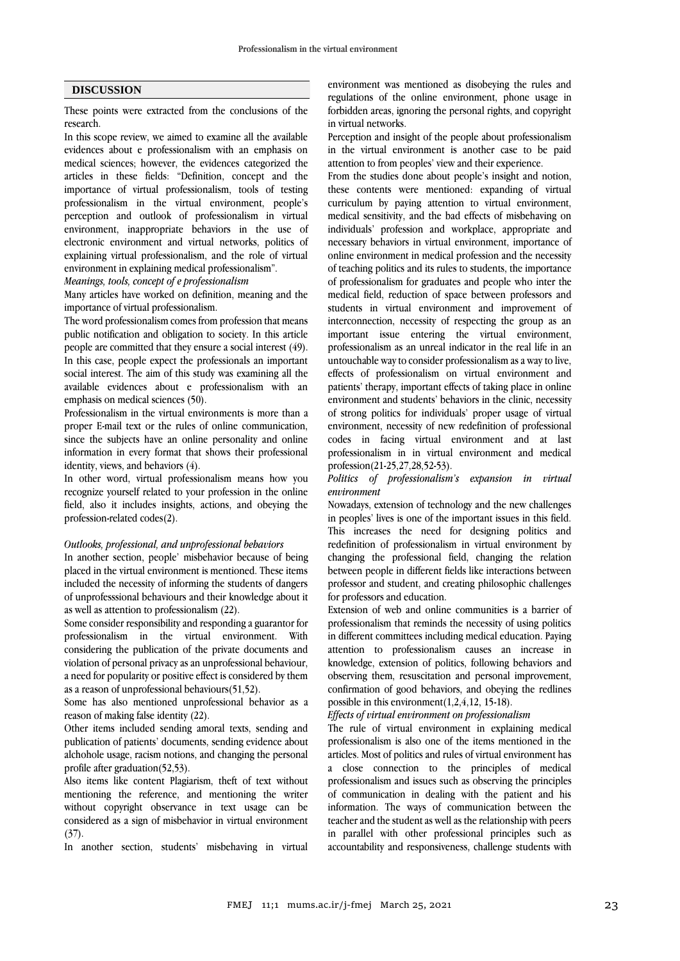# **DISCUSSION**

These points were extracted from the conclusions of the research.

In this scope review, we aimed to examine all the available evidences about e professionalism with an emphasis on medical sciences; however, the evidences categorized the articles in these fields: "Definition, concept and the importance of virtual professionalism, tools of testing professionalism in the virtual environment, people's perception and outlook of professionalism in virtual environment, inappropriate behaviors in the use of electronic environment and virtual networks, politics of explaining virtual professionalism, and the role of virtual environment in explaining medical professionalism".

*Meanings, tools, concept of e professionalism* 

Many articles have worked on definition, meaning and the importance of virtual professionalism.

The word professionalism comes from profession that means public notification and obligation to society. In this article people are committed that they ensure a social interest (49). In this case, people expect the professionals an important social interest. The aim of this study was examining all the available evidences about e professionalism with an emphasis on medical sciences (50).

Professionalism in the virtual environments is more than a proper E-mail text or the rules of online communication, since the subjects have an online personality and online information in every format that shows their professional identity, views, and behaviors (4).

In other word, virtual professionalism means how you recognize yourself related to your profession in the online field, also it includes insights, actions, and obeying the profession-related codes(2).

### *Outlooks, professional, and unprofessional behaviors*

In another section, people' misbehavior because of being placed in the virtual environment is mentioned. These items included the necessity of informing the students of dangers of unprofesssional behaviours and their knowledge about it as well as attention to professionalism (22).

Some consider responsibility and responding a guarantor for professionalism in the virtual environment. With considering the publication of the private documents and violation of personal privacy as an unprofessional behaviour, a need for popularity or positive effect is considered by them as a reason of unprofessional behaviours(51,52).

Some has also mentioned unprofessional behavior as a reason of making false identity (22).

Other items included sending amoral texts, sending and publication of patients' documents, sending evidence about alchohole usage, racism notions, and changing the personal profile after graduation(52,53).

Also items like content Plagiarism, theft of text without mentioning the reference, and mentioning the writer without copyright observance in text usage can be considered as a sign of misbehavior in virtual environment  $(37)$ .

In another section, students' misbehaving in virtual

environment was mentioned as disobeying the rules and regulations of the online environment, phone usage in forbidden areas, ignoring the personal rights, and copyright in virtual networks.

Perception and insight of the people about professionalism in the virtual environment is another case to be paid attention to from peoples' view and their experience.

From the studies done about people's insight and notion, these contents were mentioned: expanding of virtual curriculum by paying attention to virtual environment, medical sensitivity, and the bad effects of misbehaving on individuals' profession and workplace, appropriate and necessary behaviors in virtual environment, importance of online environment in medical profession and the necessity of teaching politics and its rules to students, the importance of professionalism for graduates and people who inter the medical field, reduction of space between professors and students in virtual environment and improvement of interconnection, necessity of respecting the group as an important issue entering the virtual environment, professionalism as an unreal indicator in the real life in an untouchable way to consider professionalism as a way to live, effects of professionalism on virtual environment and patients' therapy, important effects of taking place in online environment and students' behaviors in the clinic, necessity of strong politics for individuals' proper usage of virtual environment, necessity of new redefinition of professional codes in facing virtual environment and at last professionalism in in virtual environment and medical profession(21-25,27,28,52-53).

# *Politics of professionalism's expansion in virtual environment*

Nowadays, extension of technology and the new challenges in peoples' lives is one of the important issues in this field. This increases the need for designing politics and redefinition of professionalism in virtual environment by changing the professional field, changing the relation between people in different fields like interactions between professor and student, and creating philosophic challenges for professors and education.

Extension of web and online communities is a barrier of professionalism that reminds the necessity of using politics in different committees including medical education. Paying attention to professionalism causes an increase in knowledge, extension of politics, following behaviors and observing them, resuscitation and personal improvement, confirmation of good behaviors, and obeying the redlines possible in this environment(1,2,4,12, 15-18).

*Effects of virtual environment on professionalism*

The rule of virtual environment in explaining medical professionalism is also one of the items mentioned in the articles. Most of politics and rules of virtual environment has a close connection to the principles of medical professionalism and issues such as observing the principles of communication in dealing with the patient and his information. The ways of communication between the teacher and the student as well as the relationship with peers in parallel with other professional principles such as accountability and responsiveness, challenge students with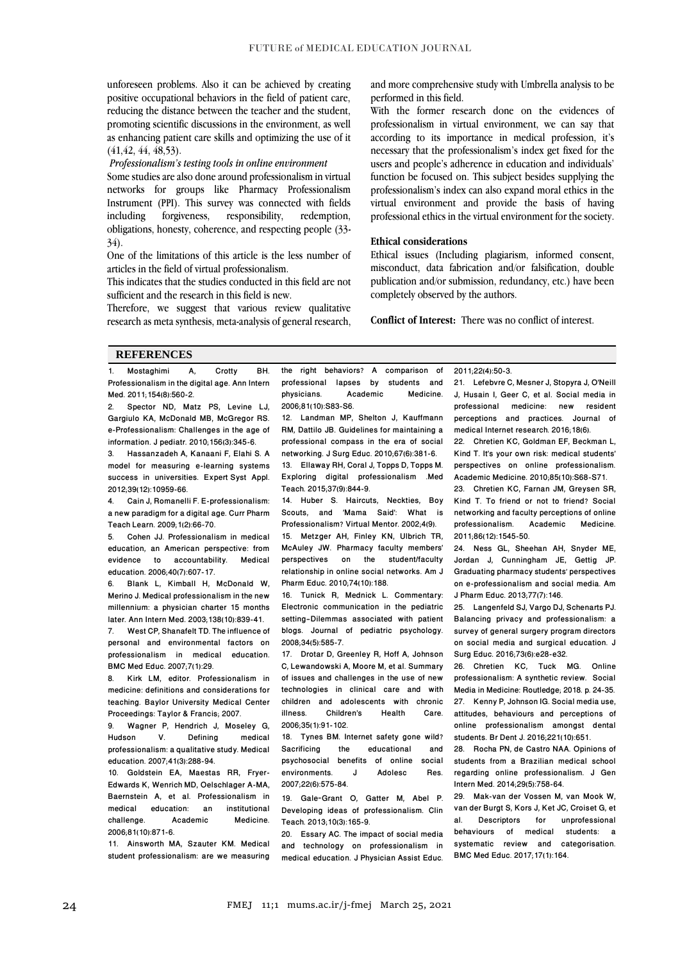unforeseen problems. Also it can be achieved by creating positive occupational behaviors in the field of patient care, reducing the distance between the teacher and the student, promoting scientific discussions in the environment, as well as enhancing patient care skills and optimizing the use of it (41,42, 44, 48,53).

#### *Professionalism's testing tools in online environment*

Some studies are also done around professionalism in virtual networks for groups like Pharmacy Professionalism Instrument (PPI). This survey was connected with fields including forgiveness, responsibility, redemption, obligations, honesty, coherence, and respecting people (33- 34).

One of the limitations of this article is the less number of articles in the field of virtual professionalism.

This indicates that the studies conducted in this field are not sufficient and the research in this field is new.

Therefore, we suggest that various review qualitative research as meta synthesis, meta-analysis of general research, and more comprehensive study with Umbrella analysis to be performed in this field.

With the former research done on the evidences of professionalism in virtual environment, we can say that according to its importance in medical profession, it's necessary that the professionalism's index get fixed for the users and people's adherence in education and individuals' function be focused on. This subject besides supplying the professionalism's index can also expand moral ethics in the virtual environment and provide the basis of having professional ethics in the virtual environment for the society.

# **Ethical considerations**

Ethical issues (Including plagiarism, informed consent, misconduct, data fabrication and/or falsification, double publication and/or submission, redundancy, etc.) have been completely observed by the authors.

**Conflict of Interest:** There was no conflict of interest.

### **REFERENCES**

1. Mostaghimi A, Crotty BH. Professionalism in the digital age. Ann Intern Med. 2011;154(8):560-2.<br>2 Spector ND Mai

Spector ND, Matz PS, Levine LJ, Gargiulo KA, McDonald MB, McGregor RS. e-Professionalism: Challenges in the age of information. J pediatr. 2010;156(3):345-6.<br>3 Hassanzadeh A. Kanaani E. Flahi S.

3. Hassanzadeh A, Kanaani F, Elahi S. A model for measuring e-learning systems success in universities. Expert Syst Appl. 2012;39(12):10959-66.

4. Cain J, Romanelli F. E-professionalism: a new paradigm for a digital age. Curr Pharm Teach Learn. 2009;1(2):66-70.

5. Cohen JJ. Professionalism in medical education, an American perspective: from<br>evidence to accountability. Medical evidence to accountability. education. 2006;40(7):607-17.<br>6 Blank L. Kimball H.

Blank L, Kimball H, McDonald W, Merino J. Medical professionalism in the new millennium: a physician charter 15 months later. Ann Intern Med. 2003;138(10):839-41.<br>7. West CP. Shanafelt TD. The influence of

West CP, Shanafelt TD. The influence of personal and environmental factors on professionalism in medical education. BMC Med Educ. 2007;7(1):29.<br>8 Kirk I M editor Profe

8. Kirk LM, editor. Professionalism in medicine: definitions and considerations for teaching. Baylor University Medical Center Proceedings: Taylor & Francis; 2007.<br>9. Wagner, P. Hendrich J. Moss

9. Wagner P, Hendrich J, Moseley G,<br>Hudson V. Defining medical medical professionalism: a qualitative study. Medical education. 2007;41(3):288-94.

10. Goldstein EA, Maestas RR, Fryer-Edwards K, Wenrich MD, Oelschlager A-MA, Baernstein A, et al. Professionalism in<br>medical education: an institutional education: an institutional<br>Academic Medicine. challenge. 2006;81(10):871-6.

11. Ainsworth MA, Szauter KM. Medical student professionalism: are we measuring

the right behaviors? A comparison of professional lapses by students and<br>physicians. Academic Medicine. physicians. 2006;81(10):S83-S6.

12. Landman MP, Shelton J, Kauffmann RM, Dattilo JB. Guidelines for maintaining a professional compass in the era of social networking. J Surg Educ. 2010;67(6):381-6. 13. Ellaway RH, Coral J, Topps D, Topps M. Exploring digital professionalism .Med Teach. 2015;37(9):844-9.

14. Huber S. Haircuts, Neckties, Boy Scouts, and 'Mama Said': What is Professionalism? Virtual Mentor. 2002;4(9).

15. Metzger AH, Finley KN, Ulbrich TR, McAuley JW. Pharmacy faculty members' perspectives on the student/faculty relationship in online social networks. Am J Pharm Educ. 2010;74(10):188.

16. Tunick R, Mednick L. Commentary: Electronic communication in the pediatric setting—Dilemmas associated with patient blogs. Journal of pediatric psychology. 2008;34(5):585-7.

17. Drotar D, Greenley R, Hoff A, Johnson C, Lewandowski A, Moore M, et al. Summary of issues and challenges in the use of new technologies in clinical care and with children and adolescents with chronic<br>illness. Children's Health Care. Children's 2006;35(1):91-102.

18. Tynes BM. Internet safety gone wild?<br>Sacrificing the educational and educational and psychosocial benefits of online social environments. 2007;22(6):575-84.

19. Gale‐Grant O, Gatter M, Abel P. Developing ideas of professionalism. Clin Teach. 2013;10(3):165-9.

20. Essary AC. The impact of social media and technology on professionalism in medical education. J Physician Assist Educ.

2011;22(4):50-3.

21. Lefebvre C, Mesner J, Stopyra J, O'Neill J, Husain I, Geer C, et al. Social media in professional medicine: new resident perceptions and practices. Journal of medical Internet research. 2016;18(6).

22. Chretien KC, Goldman EF, Beckman L, Kind T. It's your own risk: medical students' perspectives on online professionalism. Academic Medicine. 2010;85(10):S68-S71.

23. Chretien KC, Farnan JM, Greysen SR, Kind T. To friend or not to friend? Social networking and faculty perceptions of online professionalism. Academic Medicine. 2011;86(12):1545-50.

24. Ness GL, Sheehan AH, Snyder ME, Jordan J, Cunningham JE, Gettig JP. Graduating pharmacy students' perspectives on e-professionalism and social media. Am J Pharm Educ. 2013;77(7):146.

25. Langenfeld SJ, Vargo DJ, Schenarts PJ. Balancing privacy and professionalism: a survey of general surgery program directors on social media and surgical education. J Surg Educ. 2016;73(6):e28-e32.

26. Chretien KC, Tuck MG. Online professionalism: A synthetic review. Social Media in Medicine: Routledge; 2018. p. 24-35. 27. Kenny P, Johnson IG. Social media use, attitudes, behaviours and perceptions of online professionalism amongst dental students. Br Dent J. 2016;221(10):651.

28. Rocha PN, de Castro NAA. Opinions of students from a Brazilian medical school regarding online professionalism. J Gen Intern Med. 2014;29(5):758-64.

29. Mak-van der Vossen M, van Mook W, van der Burgt S, Kors J, Ket JC, Croiset G, et Descriptors for behaviours of medical students: a systematic review and categorisation. BMC Med Educ. 2017;17(1):164.